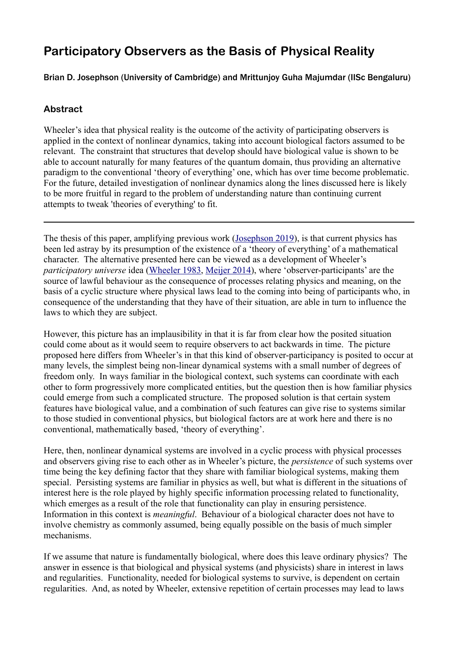# **Participatory Observers as the Basis of Physical Reality**

## Brian D. Josephson (University of Cambridge) and Mrittunjoy Guha Majumdar (IISc Bengaluru)

## **Abstract**

Wheeler's idea that physical reality is the outcome of the activity of participating observers is applied in the context of nonlinear dynamics, taking into account biological factors assumed to be relevant. The constraint that structures that develop should have biological value is shown to be able to account naturally for many features of the quantum domain, thus providing an alternative paradigm to the conventional 'theory of everything' one, which has over time become problematic. For the future, detailed investigation of nonlinear dynamics along the lines discussed here is likely to be more fruitful in regard to the problem of understanding nature than continuing current attempts to tweak 'theories of everything' to fit.

The thesis of this paper, amplifying previous work ([Josephson 2019](https://doi.org/10.1007/s41470-019-00049-w)), is that current physics has been led astray by its presumption of the existence of a 'theory of everything' of a mathematical character. The alternative presented here can be viewed as a development of Wheeler's *participatory universe* idea ([Wheeler 1983](https://psychonautwiki.org/w/images/3/30/Wheeler_law_without_law.pdf), [Meijer 2014](https://www.researchgate.net/publication/274741397_The_Universe_as_a_Cyclic_Organized_Information_System_John_Wheeler)), where 'observer-participants' are the source of lawful behaviour as the consequence of processes relating physics and meaning, on the basis of a cyclic structure where physical laws lead to the coming into being of participants who, in consequence of the understanding that they have of their situation, are able in turn to influence the laws to which they are subject.

However, this picture has an implausibility in that it is far from clear how the posited situation could come about as it would seem to require observers to act backwards in time. The picture proposed here differs from Wheeler's in that this kind of observer-participancy is posited to occur at many levels, the simplest being non-linear dynamical systems with a small number of degrees of freedom only. In ways familiar in the biological context, such systems can coordinate with each other to form progressively more complicated entities, but the question then is how familiar physics could emerge from such a complicated structure. The proposed solution is that certain system features have biological value, and a combination of such features can give rise to systems similar to those studied in conventional physics, but biological factors are at work here and there is no conventional, mathematically based, 'theory of everything'.

Here, then, nonlinear dynamical systems are involved in a cyclic process with physical processes and observers giving rise to each other as in Wheeler's picture, the *persistence* of such systems over time being the key defining factor that they share with familiar biological systems, making them special. Persisting systems are familiar in physics as well, but what is different in the situations of interest here is the role played by highly specific information processing related to functionality, which emerges as a result of the role that functionality can play in ensuring persistence. Information in this context is *meaningful*. Behaviour of a biological character does not have to involve chemistry as commonly assumed, being equally possible on the basis of much simpler mechanisms.

If we assume that nature is fundamentally biological, where does this leave ordinary physics? The answer in essence is that biological and physical systems (and physicists) share in interest in laws and regularities. Functionality, needed for biological systems to survive, is dependent on certain regularities. And, as noted by Wheeler, extensive repetition of certain processes may lead to laws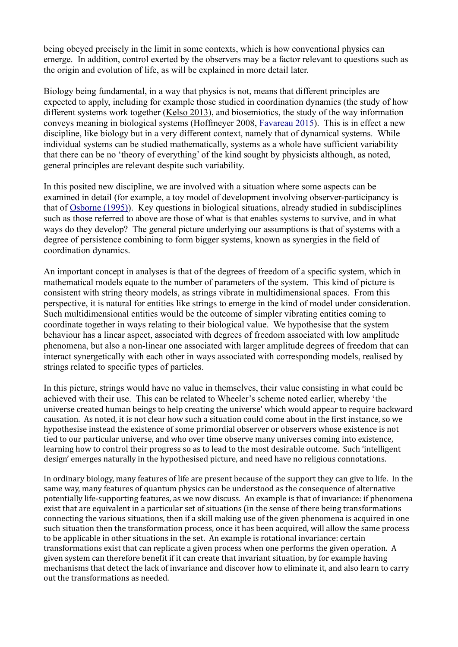being obeyed precisely in the limit in some contexts, which is how conventional physics can emerge. In addition, control exerted by the observers may be a factor relevant to questions such as the origin and evolution of life, as will be explained in more detail later.

Biology being fundamental, in a way that physics is not, means that different principles are expected to apply, including for example those studied in coordination dynamics (the study of how different systems work together ([Kelso 2013\)](https://www.researchgate.net/publication/301949127_Coordination_Dynamics), and biosemiotics, the study of the way information conveys meaning in biological systems (Hoffmeyer 2008, [Favareau 2015](https://www.researchgate.net/publication/277607766_Symbols_are_Grounded_not_in_Things_but_in_Scaffolded_Relations_and_their_Semiotic_Constraints_Or_How_the_Referential_Generality_of_Symbol_Scaffolding_Grows_Minds.)). This is in effect a new discipline, like biology but in a very different context, namely that of dynamical systems. While individual systems can be studied mathematically, systems as a whole have sufficient variability that there can be no 'theory of everything' of the kind sought by physicists although, as noted, general principles are relevant despite such variability.

In this posited new discipline, we are involved with a situation where some aspects can be examined in detail (for example, a toy model of development involving observer-participancy is that of [Osborne \(1995\)](https://philarchive.org/archive/OSBTLS-2)). Key questions in biological situations, already studied in subdisciplines such as those referred to above are those of what is that enables systems to survive, and in what ways do they develop? The general picture underlying our assumptions is that of systems with a degree of persistence combining to form bigger systems, known as synergies in the field of coordination dynamics.

An important concept in analyses is that of the degrees of freedom of a specific system, which in mathematical models equate to the number of parameters of the system. This kind of picture is consistent with string theory models, as strings vibrate in multidimensional spaces. From this perspective, it is natural for entities like strings to emerge in the kind of model under consideration. Such multidimensional entities would be the outcome of simpler vibrating entities coming to coordinate together in ways relating to their biological value. We hypothesise that the system behaviour has a linear aspect, associated with degrees of freedom associated with low amplitude phenomena, but also a non-linear one associated with larger amplitude degrees of freedom that can interact synergetically with each other in ways associated with corresponding models, realised by strings related to specific types of particles.

In this picture, strings would have no value in themselves, their value consisting in what could be achieved with their use. This can be related to Wheeler's scheme noted earlier, whereby 'the universe created human beings to help creating the universe' which would appear to require backward causation. As noted, it is not clear how such a situation could come about in the first instance, so we hypothesise instead the existence of some primordial observer or observers whose existence is not tied to our particular universe, and who over time observe many universes coming into existence, learning how to control their progress so as to lead to the most desirable outcome. Such 'intelligent design' emerges naturally in the hypothesised picture, and need have no religious connotations.

In ordinary biology, many features of life are present because of the support they can give to life. In the same way, many features of quantum physics can be understood as the consequence of alternative potentially life-supporting features, as we now discuss. An example is that of invariance: if phenomena exist that are equivalent in a particular set of situations (in the sense of there being transformations connecting the various situations, then if a skill making use of the given phenomena is acquired in one such situation then the transformation process, once it has been acquired, will allow the same process to be applicable in other situations in the set. An example is rotational invariance: certain transformations exist that can replicate a given process when one performs the given operation. A given system can therefore benefit if it can create that invariant situation, by for example having mechanisms that detect the lack of invariance and discover how to eliminate it, and also learn to carry out the transformations as needed.